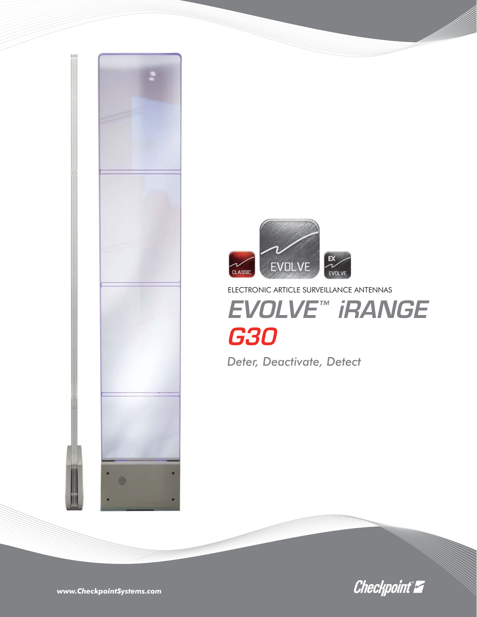



ELECTRONIC ARTICLE SURVEILLANCE ANTENNAS *EVOLVE™ iRANGE*

## *G30*

*Deter, Deactivate, Detect*



*www.CheckpointSystems.com*